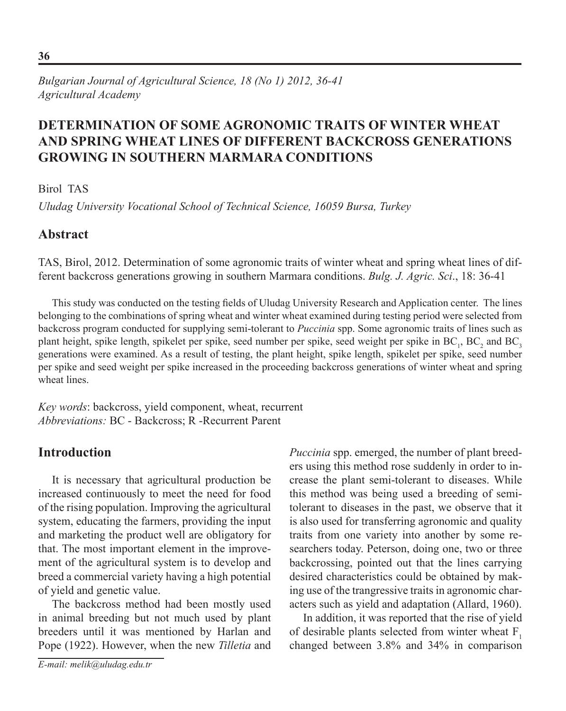# **Determination of Some Agronomic Traits of Winter Wheat and Spring Wheat Lines of Different Backcross Generations Growing in Southern Marmara Conditions**

### Birol TAS

*Uludag University Vocational School of Technical Science, 16059 Bursa, Turkey*

## **Abstract**

TAS, Birol, 2012. Determination of some agronomic traits of winter wheat and spring wheat lines of different backcross generations growing in southern Marmara conditions. *Bulg. J. Agric. Sci*., 18: 36-41

This study was conducted on the testing fields of Uludag University Research and Application center. The lines belonging to the combinations of spring wheat and winter wheat examined during testing period were selected from backcross program conducted for supplying semi-tolerant to *Puccinia* spp. Some agronomic traits of lines such as plant height, spike length, spikelet per spike, seed number per spike, seed weight per spike in  $BC_1$ ,  $BC_2$  and  $BC_3$ generations were examined. As a result of testing, the plant height, spike length, spikelet per spike, seed number per spike and seed weight per spike increased in the proceeding backcross generations of winter wheat and spring wheat lines.

*Key words*: backcross, yield component, wheat, recurrent *Abbreviations:* BC - Backcross; R -Recurrent Parent

## **Introduction**

It is necessary that agricultural production be increased continuously to meet the need for food of the rising population. Improving the agricultural system, educating the farmers, providing the input and marketing the product well are obligatory for that. The most important element in the improvement of the agricultural system is to develop and breed a commercial variety having a high potential of yield and genetic value.

The backcross method had been mostly used in animal breeding but not much used by plant breeders until it was mentioned by Harlan and Pope (1922). However, when the new *Tilletia* and

*E-mail: melik@uludag.edu.tr*

*Puccinia* spp. emerged, the number of plant breeders using this method rose suddenly in order to increase the plant semi-tolerant to diseases. While this method was being used a breeding of semitolerant to diseases in the past, we observe that it is also used for transferring agronomic and quality traits from one variety into another by some researchers today. Peterson, doing one, two or three backcrossing, pointed out that the lines carrying desired characteristics could be obtained by making use of the trangressive traits in agronomic characters such as yield and adaptation (Allard, 1960).

In addition, it was reported that the rise of yield of desirable plants selected from winter wheat  $F_1$ changed between 3.8% and 34% in comparison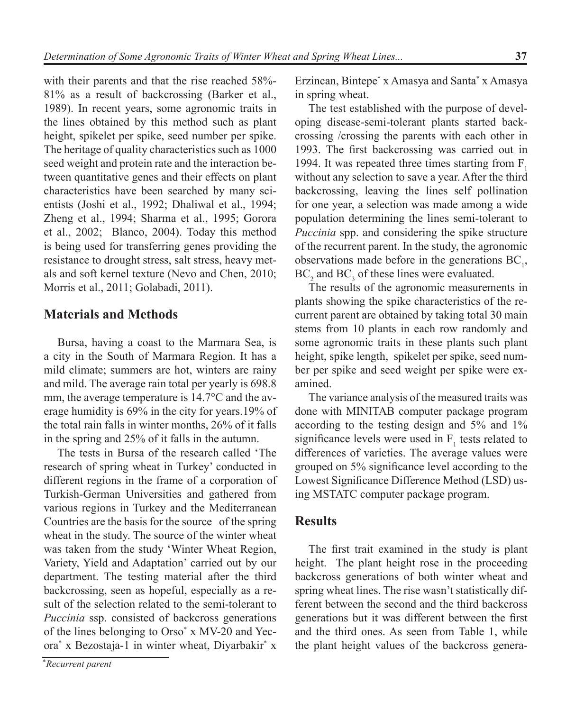with their parents and that the rise reached 58%-81% as a result of backcrossing (Barker et al., 1989). In recent years, some agronomic traits in the lines obtained by this method such as plant height, spikelet per spike, seed number per spike. The heritage of quality characteristics such as 1000 seed weight and protein rate and the interaction between quantitative genes and their effects on plant characteristics have been searched by many scientists (Joshi et al., 1992; Dhaliwal et al., 1994; Zheng et al., 1994; Sharma et al., 1995; Gorora et al., 2002; Blanco, 2004). Today this method is being used for transferring genes providing the resistance to drought stress, salt stress, heavy metals and soft kernel texture (Nevo and Chen, 2010; Morris et al., 2011; Golabadi, 2011).

### **Materials and Methods**

Bursa, having a coast to the Marmara Sea, is a city in the South of Marmara Region. It has a mild climate; summers are hot, winters are rainy and mild. The average rain total per yearly is 698.8 mm, the average temperature is 14.7°C and the average humidity is 69% in the city for years.19% of the total rain falls in winter months, 26% of it falls in the spring and 25% of it falls in the autumn.

The tests in Bursa of the research called 'The research of spring wheat in Turkey' conducted in different regions in the frame of a corporation of Turkish-German Universities and gathered from various regions in Turkey and the Mediterranean Countries are the basis for the source of the spring wheat in the study. The source of the winter wheat was taken from the study 'Winter Wheat Region, Variety, Yield and Adaptation' carried out by our department. The testing material after the third backcrossing, seen as hopeful, especially as a result of the selection related to the semi-tolerant to *Puccinia* ssp. consisted of backcross generations of the lines belonging to Orso\* x MV-20 and Yecora\* x Bezostaja-1 in winter wheat, Diyarbakir\* x

Erzincan, Bintepe\* x Amasya and Santa\* x Amasya in spring wheat.

The test established with the purpose of developing disease-semi-tolerant plants started backcrossing /crossing the parents with each other in 1993. The first backcrossing was carried out in 1994. It was repeated three times starting from F. without any selection to save a year. After the third backcrossing, leaving the lines self pollination for one year, a selection was made among a wide population determining the lines semi-tolerant to *Puccinia* spp. and considering the spike structure of the recurrent parent. In the study, the agronomic observations made before in the generations  $BC<sub>1</sub>$ ,  $BC_2$  and  $BC_3$  of these lines were evaluated.

The results of the agronomic measurements in plants showing the spike characteristics of the recurrent parent are obtained by taking total 30 main stems from 10 plants in each row randomly and some agronomic traits in these plants such plant height, spike length, spikelet per spike, seed number per spike and seed weight per spike were examined.

The variance analysis of the measured traits was done with MINITAB computer package program according to the testing design and 5% and 1% significance levels were used in  $F_1$  tests related to differences of varieties. The average values were grouped on 5% significance level according to the Lowest Significance Difference Method (LSD) using MSTATC computer package program.

### **Results**

The first trait examined in the study is plant height. The plant height rose in the proceeding backcross generations of both winter wheat and spring wheat lines. The rise wasn't statistically different between the second and the third backcross generations but it was different between the first and the third ones. As seen from Table 1, while the plant height values of the backcross genera-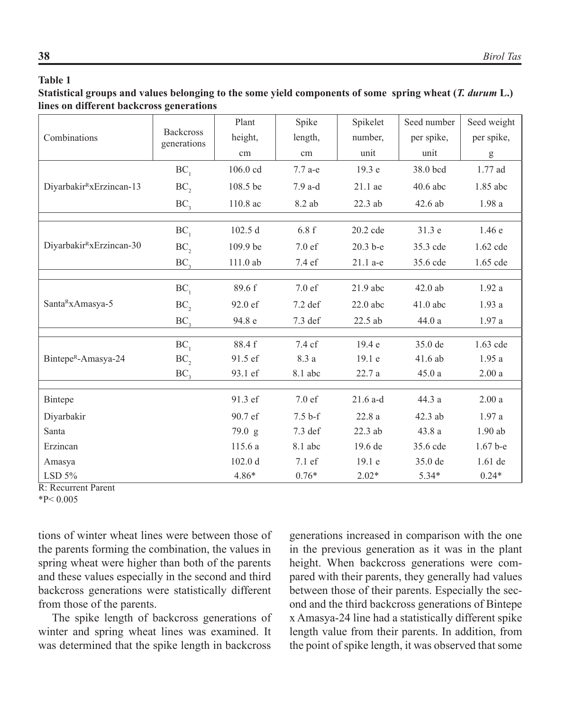#### **Table 1**

#### **Statistical groups and values belonging to the some yield components of some spring wheat (***T. durum* **L.) lines on different backcross generations**

| Combinations                         | <b>Backcross</b><br>generations | Plant    | Spike     | Spikelet   | Seed number | Seed weight |
|--------------------------------------|---------------------------------|----------|-----------|------------|-------------|-------------|
|                                      |                                 | height,  | length,   | number,    | per spike,  | per spike,  |
|                                      |                                 | cm       | cm        | unit       | unit        | g           |
| Diyarbakir <sup>R</sup> xErzincan-13 | $BC_1$                          | 106.0 cd | $7.7$ a-e | 19.3 e     | 38.0 bcd    | 1.77 ad     |
|                                      | BC                              | 108.5 be | $7.9$ a-d | 21.1 ae    | 40.6 abc    | 1.85 abc    |
|                                      | BC <sub>3</sub>                 | 110.8 ac | 8.2 ab    | 22.3 ab    | 42.6 ab     | 1.98a       |
|                                      |                                 |          |           |            |             |             |
| Diyarbakir <sup>R</sup> xErzincan-30 | BC <sub>1</sub>                 | 102.5 d  | 6.8f      | 20.2 cde   | 31.3 e      | 1.46e       |
|                                      | BC,                             | 109.9 be | 7.0 ef    | $20.3 b-e$ | 35.3 cde    | 1.62 cde    |
|                                      | BC <sub>3</sub>                 | 111.0 ab | 7.4 ef    | 21.1 a-e   | 35.6 cde    | 1.65 cde    |
|                                      |                                 |          |           |            |             |             |
| Santa <sup>R</sup> xAmasya-5         | $BC_1$                          | 89.6 f   | 7.0 ef    | 21.9 abc   | 42.0 ab     | 1.92a       |
|                                      | BC,                             | 92.0 ef  | 7.2 def   | $22.0$ abc | 41.0 abc    | 1.93a       |
|                                      | BC <sub>3</sub>                 | 94.8 e   | 7.3 def   | 22.5 ab    | 44.0 a      | 1.97 a      |
|                                      |                                 |          |           |            |             |             |
| Bintepe <sup>R</sup> -Amasya-24      | BC <sub>1</sub>                 | 88.4 f   | 7.4 cf    | 19.4 e     | 35.0 de     | $1.63$ cde  |
|                                      | $BC$ ,                          | 91.5 ef  | 8.3 a     | 19.1 e     | 41.6 ab     | 1.95a       |
|                                      | BC <sub>3</sub>                 | 93.1 ef  | 8.1 abc   | 22.7 a     | 45.0a       | 2.00a       |
|                                      |                                 |          |           |            |             |             |
| Bintepe                              |                                 | 91.3 ef  | 7.0 ef    | $21.6$ a-d | 44.3 a      | 2.00a       |
| Diyarbakir                           |                                 | 90.7 ef  | $7.5b-f$  | 22.8a      | 42.3 ab     | 1.97a       |
| Santa                                |                                 | 79.0 g   | 7.3 def   | 22.3 ab    | 43.8 a      | $1.90$ ab   |
| Erzincan                             |                                 | 115.6 a  | 8.1 abc   | 19.6 de    | 35.6 cde    | $1.67b-e$   |
| Amasya                               |                                 | 102.0 d  | 7.1 ef    | 19.1 e     | 35.0 de     | 1.61 de     |
| LSD $5\%$                            |                                 | 4.86*    | $0.76*$   | $2.02*$    | 5.34*       | $0.24*$     |

R: Recurrent Parent

 $*P< 0.005$ 

tions of winter wheat lines were between those of the parents forming the combination, the values in spring wheat were higher than both of the parents and these values especially in the second and third backcross generations were statistically different from those of the parents.

The spike length of backcross generations of winter and spring wheat lines was examined. It was determined that the spike length in backcross

generations increased in comparison with the one in the previous generation as it was in the plant height. When backcross generations were compared with their parents, they generally had values between those of their parents. Especially the second and the third backcross generations of Bintepe x Amasya-24 line had a statistically different spike length value from their parents. In addition, from the point of spike length, it was observed that some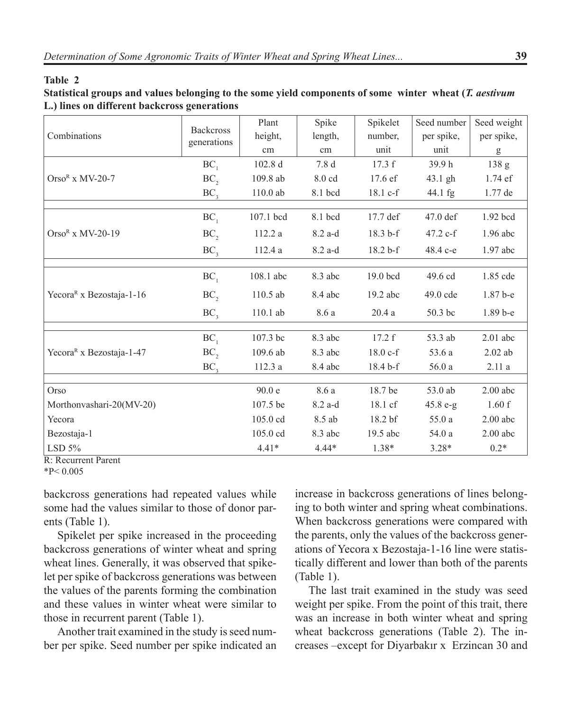#### **Table 2**

**Statistical groups and values belonging to the some yield components of some winter wheat (***T. aestivum* **L.) lines on different backcross generations**

|                                      | <b>Backcross</b><br>generations | Plant              | Spike     | Spikelet | Seed number | Seed weight                                                                                                                                                                                                                                                                                                                                                                                                                    |
|--------------------------------------|---------------------------------|--------------------|-----------|----------|-------------|--------------------------------------------------------------------------------------------------------------------------------------------------------------------------------------------------------------------------------------------------------------------------------------------------------------------------------------------------------------------------------------------------------------------------------|
| Combinations                         |                                 | height,            | length,   | number,  | per spike,  | per spike,                                                                                                                                                                                                                                                                                                                                                                                                                     |
|                                      |                                 | cm                 | cm        | unit     | unit        | $\mathbf{g}% _{T}=\mathbf{g}_{T}=\mathbf{g}_{T}=\mathbf{g}_{T}=\mathbf{g}_{T}=\mathbf{g}_{T}=\mathbf{g}_{T}=\mathbf{g}_{T}=\mathbf{g}_{T}=\mathbf{g}_{T}=\mathbf{g}_{T}=\mathbf{g}_{T}=\mathbf{g}_{T}=\mathbf{g}_{T}=\mathbf{g}_{T}=\mathbf{g}_{T}=\mathbf{g}_{T}=\mathbf{g}_{T}=\mathbf{g}_{T}=\mathbf{g}_{T}=\mathbf{g}_{T}=\mathbf{g}_{T}=\mathbf{g}_{T}=\mathbf{g}_{T}=\mathbf{g}_{T}=\mathbf{g}_{T}=\mathbf{g}_{T}=\math$ |
|                                      | BC <sub>1</sub>                 | 102.8 <sub>d</sub> | 7.8 d     | 17.3 f   | 39.9h       | 138 g                                                                                                                                                                                                                                                                                                                                                                                                                          |
| $Orso^R$ x MV-20-7                   | $BC$ ,                          | 109.8 ab           | 8.0 cd    | 17.6 ef  | 43.1 gh     | 1.74 ef                                                                                                                                                                                                                                                                                                                                                                                                                        |
|                                      | BC <sub>3</sub>                 | $110.0$ ab         | 8.1 bcd   | 18.1 c-f | 44.1 fg     | 1.77 de                                                                                                                                                                                                                                                                                                                                                                                                                        |
|                                      |                                 |                    |           |          |             |                                                                                                                                                                                                                                                                                                                                                                                                                                |
|                                      | BC <sub>1</sub>                 | 107.1 bcd          | 8.1 bcd   | 17.7 def | $47.0$ def  | 1.92 bcd                                                                                                                                                                                                                                                                                                                                                                                                                       |
| $OrsoR$ x MV-20-19                   | $BC$ ,                          | 112.2a             | 8.2 a-d   | 18.3 b-f | 47.2 c-f    | 1.96 abc                                                                                                                                                                                                                                                                                                                                                                                                                       |
|                                      | BC <sub>3</sub>                 | 112.4 a            | $8.2$ a-d | 18.2 b-f | 48.4 c-e    | 1.97 abc                                                                                                                                                                                                                                                                                                                                                                                                                       |
|                                      |                                 |                    |           |          |             |                                                                                                                                                                                                                                                                                                                                                                                                                                |
|                                      | $BC_1$                          | 108.1 abc          | 8.3 abc   | 19.0 bcd | 49.6 cd     | 1.85 cde                                                                                                                                                                                                                                                                                                                                                                                                                       |
| Yecora <sup>R</sup> x Bezostaja-1-16 | $BC$ <sub>2</sub>               | 110.5 ab           | 8.4 abc   | 19.2 abc | 49.0 cde    | 1.87 b-e                                                                                                                                                                                                                                                                                                                                                                                                                       |
|                                      | BC <sub>3</sub>                 | 110.1 ab           | 8.6 a     | 20.4a    | 50.3 bc     | 1.89 b-e                                                                                                                                                                                                                                                                                                                                                                                                                       |
|                                      |                                 |                    | 8.3 abc   | 17.2 f   | 53.3 ab     | $2.01$ abc                                                                                                                                                                                                                                                                                                                                                                                                                     |
|                                      | BC <sub>1</sub>                 | 107.3 bc           |           |          |             |                                                                                                                                                                                                                                                                                                                                                                                                                                |
| Yecora <sup>R</sup> x Bezostaja-1-47 | $BC$ ,                          | 109.6 ab           | 8.3 abc   | 18.0 c-f | 53.6 a      | $2.02$ ab                                                                                                                                                                                                                                                                                                                                                                                                                      |
|                                      | BC <sub>3</sub>                 | 112.3 a            | 8.4 abc   | 18.4 b-f | 56.0a       | 2.11a                                                                                                                                                                                                                                                                                                                                                                                                                          |
|                                      |                                 |                    |           |          |             |                                                                                                                                                                                                                                                                                                                                                                                                                                |
| Orso                                 |                                 | 90.0 e             | 8.6 a     | 18.7 be  | 53.0 ab     | $2.00$ abc                                                                                                                                                                                                                                                                                                                                                                                                                     |
| Morthonvashari-20(MV-20)             |                                 | 107.5 be           | 8.2 a-d   | 18.1 cf  | $45.8 e-g$  | 1.60 f                                                                                                                                                                                                                                                                                                                                                                                                                         |
| Yecora                               |                                 | 105.0 cd           | 8.5 ab    | 18.2 bf  | 55.0a       | $2.00$ abc                                                                                                                                                                                                                                                                                                                                                                                                                     |
| Bezostaja-1                          |                                 | 105.0 cd           | 8.3 abc   | 19.5 abc | 54.0 a      | $2.00$ abc                                                                                                                                                                                                                                                                                                                                                                                                                     |
| LSD $5\%$                            |                                 | $4.41*$            | $4.44*$   | $1.38*$  | $3.28*$     | $0.2*$                                                                                                                                                                                                                                                                                                                                                                                                                         |

R: Recurrent Parent

backcross generations had repeated values while some had the values similar to those of donor parents (Table 1).

Spikelet per spike increased in the proceeding backcross generations of winter wheat and spring wheat lines. Generally, it was observed that spikelet per spike of backcross generations was between the values of the parents forming the combination and these values in winter wheat were similar to those in recurrent parent (Table 1).

Another trait examined in the study is seed number per spike. Seed number per spike indicated an

increase in backcross generations of lines belonging to both winter and spring wheat combinations. When backcross generations were compared with the parents, only the values of the backcross generations of Yecora x Bezostaja-1-16 line were statistically different and lower than both of the parents (Table 1).

The last trait examined in the study was seed weight per spike. From the point of this trait, there was an increase in both winter wheat and spring wheat backcross generations (Table 2). The increases –except for Diyarbakır x Erzincan 30 and

 $*P< 0.005$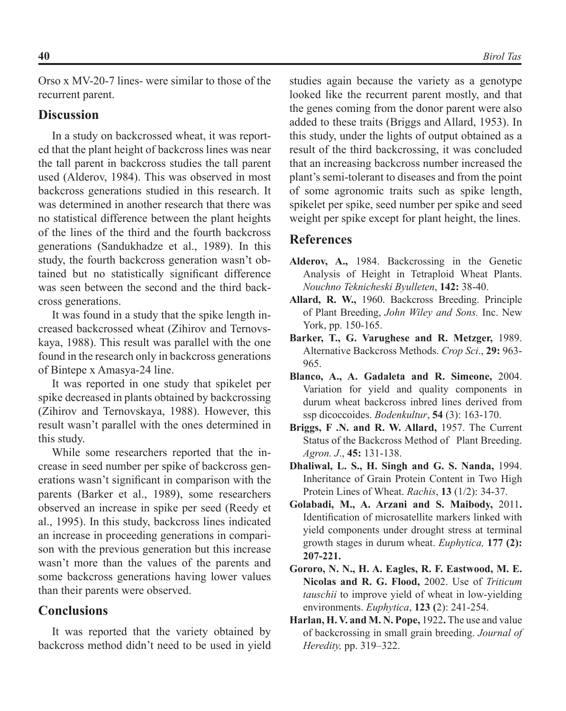Orso x MV-20-7 lines- were similar to those of the recurrent parent.

#### **Discussion**

In a study on backcrossed wheat, it was reported that the plant height of backcross lines was near the tall parent in backcross studies the tall parent used (Alderov, 1984). This was observed in most backcross generations studied in this research. It was determined in another research that there was no statistical difference between the plant heights of the lines of the third and the fourth backcross generations (Sandukhadze et al., 1989). In this study, the fourth backcross generation wasn't obtained but no statistically significant difference was seen between the second and the third backcross generations.

It was found in a study that the spike length increased backcrossed wheat (Zihirov and Ternovskaya, 1988). This result was parallel with the one found in the research only in backcross generations of Bintepe x Amasya-24 line.

It was reported in one study that spikelet per spike decreased in plants obtained by backcrossing (Zihirov and Ternovskaya, 1988). However, this result wasn't parallel with the ones determined in this study.

While some researchers reported that the increase in seed number per spike of backcross generations wasn't significant in comparison with the parents (Barker et al., 1989), some researchers observed an increase in spike per seed (Reedy et al., 1995). In this study, backcross lines indicated an increase in proceeding generations in comparison with the previous generation but this increase wasn't more than the values of the parents and some backcross generations having lower values than their parents were observed.

#### **Conclusions**

It was reported that the variety obtained by backcross method didn't need to be used in yield

studies again because the variety as a genotype looked like the recurrent parent mostly, and that the genes coming from the donor parent were also added to these traits (Briggs and Allard, 1953). In this study, under the lights of output obtained as a result of the third backcrossing, it was concluded that an increasing backcross number increased the plant's semi-tolerant to diseases and from the point of some agronomic traits such as spike length, spikelet per spike, seed number per spike and seed weight per spike except for plant height, the lines.

### **References**

- **Alderov, A.,** 1984. Backcrossing in the Genetic Analysis of Height in Tetraploid Wheat Plants. *Nouchno Teknicheski Byulleten*, **142:** 38-40.
- **Allard, R. W.,** 1960. Backcross Breeding. Principle of Plant Breeding, *John Wiley and Sons.* Inc. New York, pp. 150-165.
- **Barker, T., G. Varughese and R. Metzger,** 1989. Alternative Backcross Methods. *Crop Sci*., **29:** 963- 965.
- **Blanco, A., A. Gadaleta and R. Simeone,** 2004. Variation for yield and quality components in durum wheat backcross inbred lines derived from ssp dicoccoides. *Bodenkultur*, **54** (3): 163-170.
- **Briggs, F .N. and R. W. Allard,** 1957. The Current Status of the Backcross Method of Plant Breeding. *Agron. J*., **45:** 131-138.
- **Dhaliwal, L. S., H. Singh and G. S. Nanda,** 1994. Inheritance of Grain Protein Content in Two High Protein Lines of Wheat. *Rachis*, **13** (1/2): 34-37.
- **Golabadi, M., A. Arzani and S. Maibody,** 2011**.**  Identification of microsatellite markers linked with yield components under drought stress at terminal growth stages in durum wheat. *Euphytica,* **177 (2): 207-221.**
- **Gororo, N. N., H. A. Eagles, R. F. Eastwood, M. E. Nicolas and R. G. Flood,** 2002. Use of *Triticum tauschii* to improve yield of wheat in low-yielding environments. *Euphytica*, **123 (**2): 241-254.
- **Harlan, H. V. and M. N. Pope,** 1922**.** The use and value of backcrossing in small grain breeding. *Journal of Heredity,* pp. 319–322.